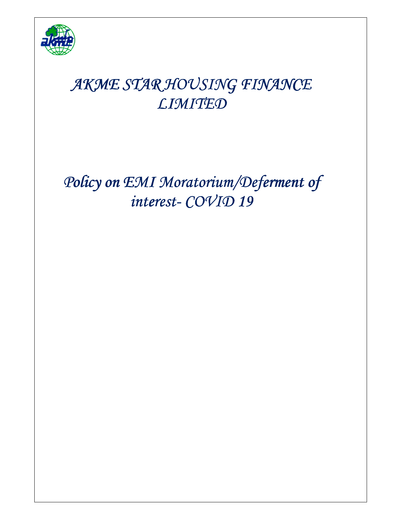

# *AKME STAR HOUSING FINANCE FINANCE FINANCE LIMITED*

*Policy on EMI Moratorium/Deferment of interest-COVID 19*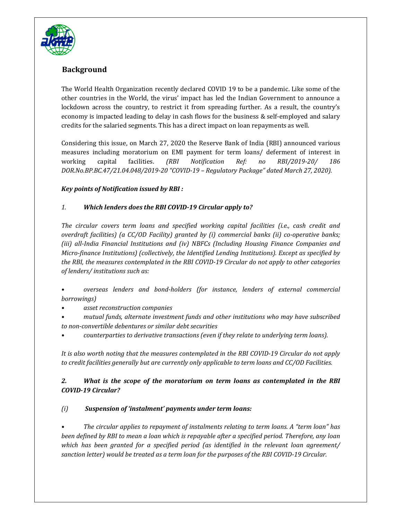

# **Background**

The World Health Organization recently declared COVID 19 to be a pandemic. Like some of the other countries in the World, the virus' impact has led the Indian Government to announce a lockdown across the country, to restrict it from spreading further. As a result, the country's economy is impacted leading to delay in cash flows for the business & self-employed and salary credits for the salaried segments. This has a direct impact on loan repayments as well.

Considering this issue, on March 27, 2020 the Reserve Bank of India (RBI) announced various measures including moratorium on EMI payment for term loans/ deferment of interest in working capital facilities. *(RBI Notification Ref: no RBI/2019-20/ 186 DOR.No.BP.BC.47/21.04.048/2019-20 "COVID-19 – Regulatory Package" dated March 27, 2020).* 

#### *Key points of Notification issued by RBI :*

#### *1. Which lenders does the RBI COVID-19 Circular apply to?*

*The circular covers term loans and specified working capital facilities (i.e., cash credit and overdraft facilities) (a CC/OD Facility) granted by (i) commercial banks (ii) co-operative banks; (iii) all-India Financial Institutions and (iv) NBFCs (Including Housing Finance Companies and Micro-finance Institutions) (collectively, the Identified Lending Institutions). Except as specified by the RBI, the measures contemplated in the RBI COVID-19 Circular do not apply to other categories of lenders/ institutions such as:* 

*• overseas lenders and bond-holders (for instance, lenders of external commercial borrowings)* 

*• asset reconstruction companies* 

*• mutual funds, alternate investment funds and other institutions who may have subscribed to non-convertible debentures or similar debt securities* 

*• counterparties to derivative transactions (even if they relate to underlying term loans).* 

*It is also worth noting that the measures contemplated in the RBI COVID-19 Circular do not apply to credit facilities generally but are currently only applicable to term loans and CC/OD Facilities.* 

#### *2. What is the scope of the moratorium on term loans as contemplated in the RBI COVID-19 Circular?*

### *(i) Suspension of 'instalment' payments under term loans:*

*• The circular applies to repayment of instalments relating to term loans. A "term loan" has been defined by RBI to mean a loan which is repayable after a specified period. Therefore, any loan which has been granted for a specified period (as identified in the relevant loan agreement/ sanction letter) would be treated as a term loan for the purposes of the RBI COVID-19 Circular.*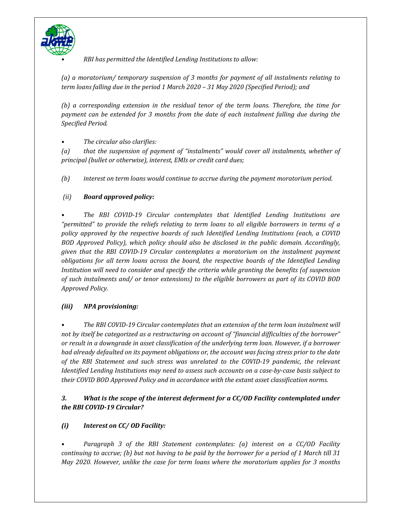

*• RBI has permitted the Identified Lending Institutions to allow:* 

*(a) a moratorium/ temporary suspension of 3 months for payment of all instalments relating to term loans falling due in the period 1 March 2020 – 31 May 2020 (Specified Period); and* 

*(b) a corresponding extension in the residual tenor of the term loans. Therefore, the time for payment can be extended for 3 months from the date of each instalment falling due during the Specified Period.* 

*• The circular also clarifies:* 

*(a) that the suspension of payment of "instalments" would cover all instalments, whether of principal (bullet or otherwise), interest, EMIs or credit card dues;* 

*(b) interest on term loans would continue to accrue during the payment moratorium period.* 

#### *(ii) Board approved policy:*

*• The RBI COVID-19 Circular contemplates that Identified Lending Institutions are "permitted" to provide the reliefs relating to term loans to all eligible borrowers in terms of a policy approved by the respective boards of such Identified Lending Institutions (each, a COVID BOD Approved Policy), which policy should also be disclosed in the public domain. Accordingly, given that the RBI COVID-19 Circular contemplates a moratorium on the instalment payment obligations for all term loans across the board, the respective boards of the Identified Lending Institution will need to consider and specify the criteria while granting the benefits (of suspension of such instalments and/ or tenor extensions) to the eligible borrowers as part of its COVID BOD Approved Policy.* 

#### *(iii) NPA provisioning:*

*• The RBI COVID-19 Circular contemplates that an extension of the term loan instalment will not by itself be categorized as a restructuring on account of "financial difficulties of the borrower" or result in a downgrade in asset classification of the underlying term loan. However, if a borrower had already defaulted on its payment obligations or, the account was facing stress prior to the date of the RBI Statement and such stress was unrelated to the COVID-19 pandemic, the relevant Identified Lending Institutions may need to assess such accounts on a case-by-case basis subject to their COVID BOD Approved Policy and in accordance with the extant asset classification norms.* 

### *3. What is the scope of the interest deferment for a CC/OD Facility contemplated under the RBI COVID-19 Circular?*

### *(i) Interest on CC/ OD Facility:*

*• Paragraph 3 of the RBI Statement contemplates: (a) interest on a CC/OD Facility continuing to accrue; (b) but not having to be paid by the borrower for a period of 1 March till 31 May 2020. However, unlike the case for term loans where the moratorium applies for 3 months*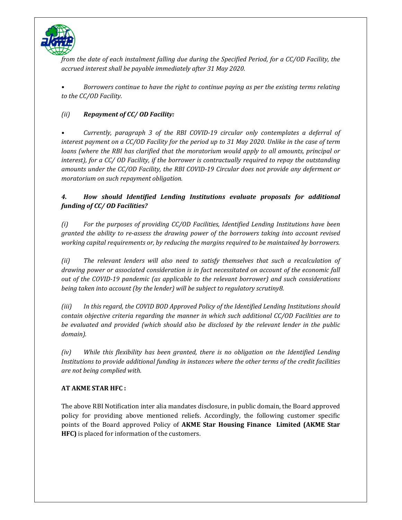

*from the date of each instalment falling due during the Specified Period, for a CC/OD Facility, the accrued interest shall be payable immediately after 31 May 2020.* 

*• Borrowers continue to have the right to continue paying as per the existing terms relating to the CC/OD Facility.* 

# *(ii) Repayment of CC/ OD Facility:*

*• Currently, paragraph 3 of the RBI COVID-19 circular only contemplates a deferral of interest payment on a CC/OD Facility for the period up to 31 May 2020. Unlike in the case of term loans (where the RBI has clarified that the moratorium would apply to all amounts, principal or interest), for a CC/ OD Facility, if the borrower is contractually required to repay the outstanding amounts under the CC/OD Facility, the RBI COVID-19 Circular does not provide any deferment or moratorium on such repayment obligation.* 

# *4. How should Identified Lending Institutions evaluate proposals for additional funding of CC/ OD Facilities?*

*(i) For the purposes of providing CC/OD Facilities, Identified Lending Institutions have been granted the ability to re-assess the drawing power of the borrowers taking into account revised working capital requirements or, by reducing the margins required to be maintained by borrowers.* 

*(ii) The relevant lenders will also need to satisfy themselves that such a recalculation of drawing power or associated consideration is in fact necessitated on account of the economic fall out of the COVID-19 pandemic (as applicable to the relevant borrower) and such considerations being taken into account (by the lender) will be subject to regulatory scrutiny8.* 

*(iii) In this regard, the COVID BOD Approved Policy of the Identified Lending Institutions should contain objective criteria regarding the manner in which such additional CC/OD Facilities are to be evaluated and provided (which should also be disclosed by the relevant lender in the public domain).* 

*(iv) While this flexibility has been granted, there is no obligation on the Identified Lending Institutions to provide additional funding in instances where the other terms of the credit facilities are not being complied with.* 

### **AT AKME STAR HFC :**

The above RBI Notification inter alia mandates disclosure, in public domain, the Board approved policy for providing above mentioned reliefs. Accordingly, the following customer specific points of the Board approved Policy of **AKME Star Housing Finance Limited (AKME Star HFC)** is placed for information of the customers.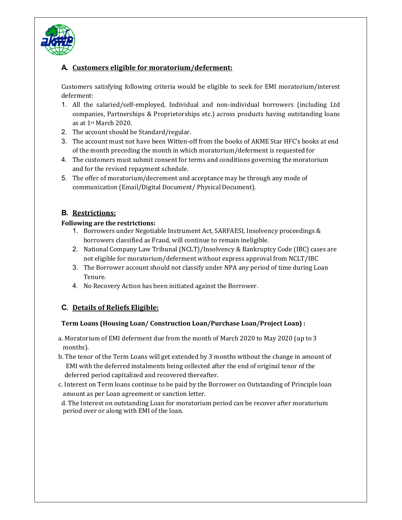

# **A. Customers eligible for moratorium/deferment:**

Customers satisfying following criteria would be eligible to seek for EMI moratorium/interest deferment:

- 1. All the salaried/self-employed, Individual and non-individual borrowers (including Ltd companies, Partnerships & Proprietorships etc.) across products having outstanding loans as at 1st March 2020.
- 2. The account should be Standard/regular.
- 3. The account must not have been Witten-off from the books of AKME Star HFC's books at end of the month preceding the month in which moratorium/deferment is requested for
- 4. The customers must submit consent for terms and conditions governing the moratorium and for the revised repayment schedule.
- 5. The offer of moratorium/decrement and acceptance may be through any mode of communication (Email/Digital Document/ Physical Document).

### **B. Restrictions:**

#### **Following are the restrictions:**

- 1. Borrowers under Negotiable Instrument Act, SARFAESI, Insolvency proceedings & borrowers classified as Fraud, will continue to remain ineligible.
- 2. National Company Law Tribunal (NCLT)/Insolvency & Bankruptcy Code (IBC) cases are not eligible for moratorium/deferment without express approval from NCLT/IBC
- 3. The Borrower account should not classify under NPA any period of time during Loan Tenure.
- 4. No Recovery Action has been initiated against the Borrower.

### **C. Details of Reliefs Eligible:**

### **Term Loans (Housing Loan/ Construction Loan/Purchase Loan/Project Loan) :**

- a. Moratorium of EMI deferment due from the month of March 2020 to May 2020 (up to 3 months).
- b. The tenor of the Term Loans will get extended by 3 months without the change in amount of EMI with the deferred instalments being collected after the end of original tenor of the deferred period capitalized and recovered thereafter.
- c. Interest on Term loans continue to be paid by the Borrower on Outstanding of Principle loan amount as per Loan agreement or sanction letter.

 d. The Interest on outstanding Loan for moratorium period can be recover after moratorium period over or along with EMI of the loan.